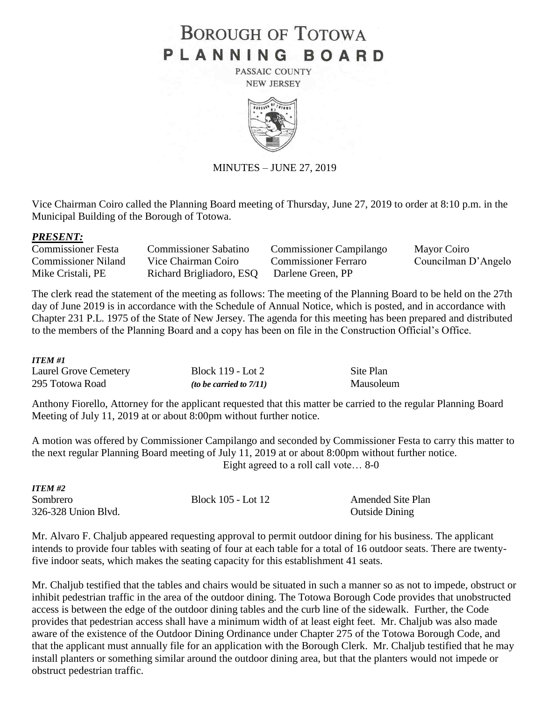## **BOROUGH OF TOTOWA** PLANNING BOARD

PASSAIC COUNTY **NEW JERSEY** 



MINUTES – JUNE 27, 2019

Vice Chairman Coiro called the Planning Board meeting of Thursday, June 27, 2019 to order at 8:10 p.m. in the Municipal Building of the Borough of Totowa.

#### *PRESENT:*

| Commissioner Festa         | <b>Commissioner Sabatino</b>               | <b>Commissioner Campilango</b> | Mayor Coiro         |
|----------------------------|--------------------------------------------|--------------------------------|---------------------|
| <b>Commissioner Niland</b> | Vice Chairman Coiro                        | <b>Commissioner Ferraro</b>    | Councilman D'Angelo |
| Mike Cristali, PE          | Richard Brigliadoro, ESQ Darlene Green, PP |                                |                     |

The clerk read the statement of the meeting as follows: The meeting of the Planning Board to be held on the 27th day of June 2019 is in accordance with the Schedule of Annual Notice, which is posted, and in accordance with Chapter 231 P.L. 1975 of the State of New Jersey. The agenda for this meeting has been prepared and distributed to the members of the Planning Board and a copy has been on file in the Construction Official's Office.

#### *ITEM #1*

| <b>Laurel Grove Cemetery</b> | Block 119 - Lot 2          | Site Plan |
|------------------------------|----------------------------|-----------|
| 295 Totowa Road              | (to be carried to $7/11$ ) | Mausoleum |

Anthony Fiorello, Attorney for the applicant requested that this matter be carried to the regular Planning Board Meeting of July 11, 2019 at or about 8:00pm without further notice.

A motion was offered by Commissioner Campilango and seconded by Commissioner Festa to carry this matter to the next regular Planning Board meeting of July 11, 2019 at or about 8:00pm without further notice. Eight agreed to a roll call vote… 8-0

| ITEM #2             |                    |                          |
|---------------------|--------------------|--------------------------|
| Sombrero            | Block 105 - Lot 12 | <b>Amended Site Plan</b> |
| 326-328 Union Blvd. |                    | <b>Outside Dining</b>    |

Mr. Alvaro F. Chaljub appeared requesting approval to permit outdoor dining for his business. The applicant intends to provide four tables with seating of four at each table for a total of 16 outdoor seats. There are twentyfive indoor seats, which makes the seating capacity for this establishment 41 seats.

Mr. Chaljub testified that the tables and chairs would be situated in such a manner so as not to impede, obstruct or inhibit pedestrian traffic in the area of the outdoor dining. The Totowa Borough Code provides that unobstructed access is between the edge of the outdoor dining tables and the curb line of the sidewalk. Further, the Code provides that pedestrian access shall have a minimum width of at least eight feet. Mr. Chaljub was also made aware of the existence of the Outdoor Dining Ordinance under Chapter 275 of the Totowa Borough Code, and that the applicant must annually file for an application with the Borough Clerk. Mr. Chaljub testified that he may install planters or something similar around the outdoor dining area, but that the planters would not impede or obstruct pedestrian traffic.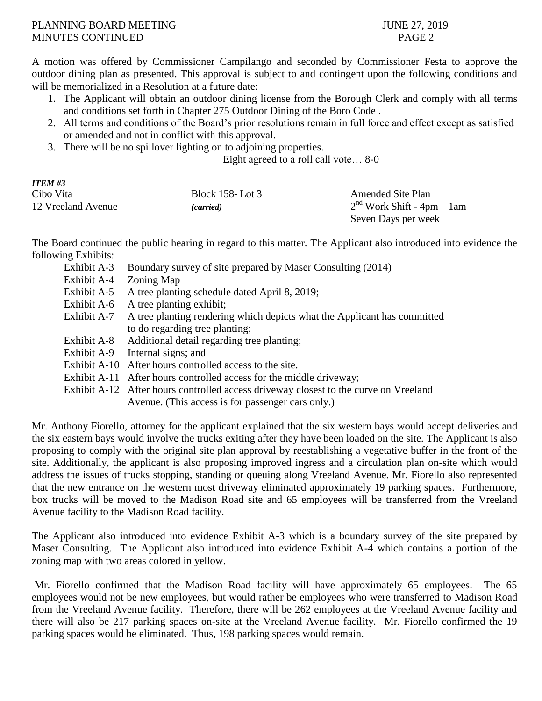#### PLANNING BOARD MEETING JUNE 27, 2019 MINUTES CONTINUED PAGE 2

A motion was offered by Commissioner Campilango and seconded by Commissioner Festa to approve the outdoor dining plan as presented. This approval is subject to and contingent upon the following conditions and will be memorialized in a Resolution at a future date:

- 1. The Applicant will obtain an outdoor dining license from the Borough Clerk and comply with all terms and conditions set forth in Chapter 275 Outdoor Dining of the Boro Code .
- 2. All terms and conditions of the Board's prior resolutions remain in full force and effect except as satisfied or amended and not in conflict with this approval.
- 3. There will be no spillover lighting on to adjoining properties.

Eight agreed to a roll call vote… 8-0

# *ITEM #3*

| Cibo Vita          | <b>Block 158-Lot 3</b> | <b>Amended Site Plan</b>     |
|--------------------|------------------------|------------------------------|
| 12 Vreeland Avenue | <i>(carried)</i>       | $2nd$ Work Shift - 4pm - 1am |
|                    |                        | Seven Days per week          |

The Board continued the public hearing in regard to this matter. The Applicant also introduced into evidence the following Exhibits:

| Exhibit A-3  | Boundary survey of site prepared by Maser Consulting (2014)                          |
|--------------|--------------------------------------------------------------------------------------|
| Exhibit A-4  | Zoning Map                                                                           |
| Exhibit A-5  | A tree planting schedule dated April 8, 2019;                                        |
| Exhibit A-6  | A tree planting exhibit;                                                             |
| Exhibit A-7  | A tree planting rendering which depicts what the Applicant has committed             |
|              | to do regarding tree planting;                                                       |
| Exhibit A-8  | Additional detail regarding tree planting;                                           |
| Exhibit A-9  | Internal signs; and                                                                  |
| Exhibit A-10 | After hours controlled access to the site.                                           |
| Exhibit A-11 | After hours controlled access for the middle driveway;                               |
|              | Exhibit A-12 After hours controlled access driveway closest to the curve on Vreeland |
|              | Avenue. (This access is for passenger cars only.)                                    |
|              |                                                                                      |

Mr. Anthony Fiorello, attorney for the applicant explained that the six western bays would accept deliveries and the six eastern bays would involve the trucks exiting after they have been loaded on the site. The Applicant is also proposing to comply with the original site plan approval by reestablishing a vegetative buffer in the front of the site. Additionally, the applicant is also proposing improved ingress and a circulation plan on-site which would address the issues of trucks stopping, standing or queuing along Vreeland Avenue. Mr. Fiorello also represented that the new entrance on the western most driveway eliminated approximately 19 parking spaces. Furthermore, box trucks will be moved to the Madison Road site and 65 employees will be transferred from the Vreeland Avenue facility to the Madison Road facility.

The Applicant also introduced into evidence Exhibit A-3 which is a boundary survey of the site prepared by Maser Consulting. The Applicant also introduced into evidence Exhibit A-4 which contains a portion of the zoning map with two areas colored in yellow.

Mr. Fiorello confirmed that the Madison Road facility will have approximately 65 employees. The 65 employees would not be new employees, but would rather be employees who were transferred to Madison Road from the Vreeland Avenue facility. Therefore, there will be 262 employees at the Vreeland Avenue facility and there will also be 217 parking spaces on-site at the Vreeland Avenue facility. Mr. Fiorello confirmed the 19 parking spaces would be eliminated. Thus, 198 parking spaces would remain.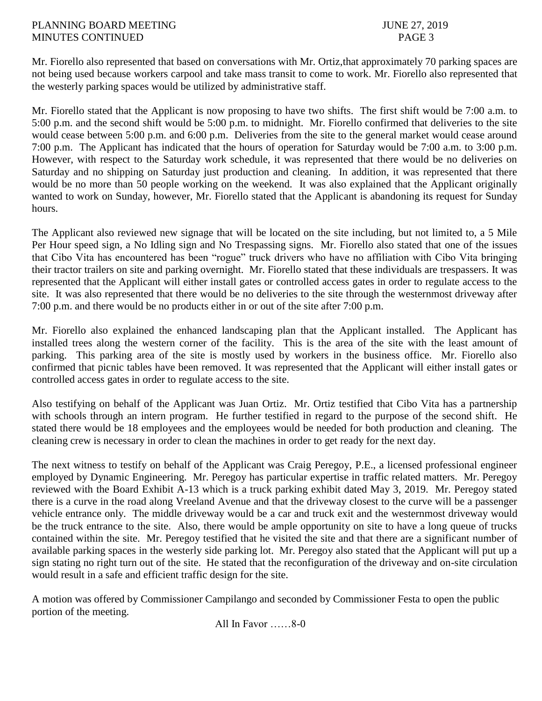#### PLANNING BOARD MEETING JUNE 27, 2019 MINUTES CONTINUED PAGE 3

Mr. Fiorello also represented that based on conversations with Mr. Ortiz,that approximately 70 parking spaces are not being used because workers carpool and take mass transit to come to work. Mr. Fiorello also represented that the westerly parking spaces would be utilized by administrative staff.

Mr. Fiorello stated that the Applicant is now proposing to have two shifts. The first shift would be 7:00 a.m. to 5:00 p.m. and the second shift would be 5:00 p.m. to midnight. Mr. Fiorello confirmed that deliveries to the site would cease between 5:00 p.m. and 6:00 p.m. Deliveries from the site to the general market would cease around 7:00 p.m. The Applicant has indicated that the hours of operation for Saturday would be 7:00 a.m. to 3:00 p.m. However, with respect to the Saturday work schedule, it was represented that there would be no deliveries on Saturday and no shipping on Saturday just production and cleaning. In addition, it was represented that there would be no more than 50 people working on the weekend. It was also explained that the Applicant originally wanted to work on Sunday, however, Mr. Fiorello stated that the Applicant is abandoning its request for Sunday hours.

The Applicant also reviewed new signage that will be located on the site including, but not limited to, a 5 Mile Per Hour speed sign, a No Idling sign and No Trespassing signs. Mr. Fiorello also stated that one of the issues that Cibo Vita has encountered has been "rogue" truck drivers who have no affiliation with Cibo Vita bringing their tractor trailers on site and parking overnight. Mr. Fiorello stated that these individuals are trespassers. It was represented that the Applicant will either install gates or controlled access gates in order to regulate access to the site. It was also represented that there would be no deliveries to the site through the westernmost driveway after 7:00 p.m. and there would be no products either in or out of the site after 7:00 p.m.

Mr. Fiorello also explained the enhanced landscaping plan that the Applicant installed. The Applicant has installed trees along the western corner of the facility. This is the area of the site with the least amount of parking. This parking area of the site is mostly used by workers in the business office. Mr. Fiorello also confirmed that picnic tables have been removed. It was represented that the Applicant will either install gates or controlled access gates in order to regulate access to the site.

Also testifying on behalf of the Applicant was Juan Ortiz. Mr. Ortiz testified that Cibo Vita has a partnership with schools through an intern program. He further testified in regard to the purpose of the second shift. He stated there would be 18 employees and the employees would be needed for both production and cleaning. The cleaning crew is necessary in order to clean the machines in order to get ready for the next day.

The next witness to testify on behalf of the Applicant was Craig Peregoy, P.E., a licensed professional engineer employed by Dynamic Engineering. Mr. Peregoy has particular expertise in traffic related matters. Mr. Peregoy reviewed with the Board Exhibit A-13 which is a truck parking exhibit dated May 3, 2019. Mr. Peregoy stated there is a curve in the road along Vreeland Avenue and that the driveway closest to the curve will be a passenger vehicle entrance only. The middle driveway would be a car and truck exit and the westernmost driveway would be the truck entrance to the site. Also, there would be ample opportunity on site to have a long queue of trucks contained within the site. Mr. Peregoy testified that he visited the site and that there are a significant number of available parking spaces in the westerly side parking lot. Mr. Peregoy also stated that the Applicant will put up a sign stating no right turn out of the site. He stated that the reconfiguration of the driveway and on-site circulation would result in a safe and efficient traffic design for the site.

A motion was offered by Commissioner Campilango and seconded by Commissioner Festa to open the public portion of the meeting.

All In Favor ……8-0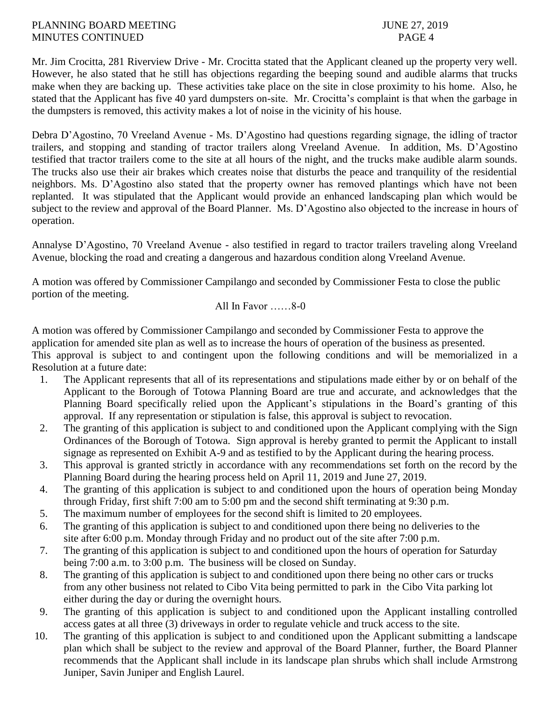#### PLANNING BOARD MEETING 37, 2019 MINUTES CONTINUED PAGE 4

Mr. Jim Crocitta, 281 Riverview Drive - Mr. Crocitta stated that the Applicant cleaned up the property very well. However, he also stated that he still has objections regarding the beeping sound and audible alarms that trucks make when they are backing up. These activities take place on the site in close proximity to his home. Also, he stated that the Applicant has five 40 yard dumpsters on-site. Mr. Crocitta's complaint is that when the garbage in the dumpsters is removed, this activity makes a lot of noise in the vicinity of his house.

Debra D'Agostino, 70 Vreeland Avenue - Ms. D'Agostino had questions regarding signage, the idling of tractor trailers, and stopping and standing of tractor trailers along Vreeland Avenue. In addition, Ms. D'Agostino testified that tractor trailers come to the site at all hours of the night, and the trucks make audible alarm sounds. The trucks also use their air brakes which creates noise that disturbs the peace and tranquility of the residential neighbors. Ms. D'Agostino also stated that the property owner has removed plantings which have not been replanted. It was stipulated that the Applicant would provide an enhanced landscaping plan which would be subject to the review and approval of the Board Planner. Ms. D'Agostino also objected to the increase in hours of operation.

Annalyse D'Agostino, 70 Vreeland Avenue - also testified in regard to tractor trailers traveling along Vreeland Avenue, blocking the road and creating a dangerous and hazardous condition along Vreeland Avenue.

A motion was offered by Commissioner Campilango and seconded by Commissioner Festa to close the public portion of the meeting.

#### All In Favor ……8-0

A motion was offered by Commissioner Campilango and seconded by Commissioner Festa to approve the application for amended site plan as well as to increase the hours of operation of the business as presented. This approval is subject to and contingent upon the following conditions and will be memorialized in a Resolution at a future date:

- 1. The Applicant represents that all of its representations and stipulations made either by or on behalf of the Applicant to the Borough of Totowa Planning Board are true and accurate, and acknowledges that the Planning Board specifically relied upon the Applicant's stipulations in the Board's granting of this approval. If any representation or stipulation is false, this approval is subject to revocation.
- 2. The granting of this application is subject to and conditioned upon the Applicant complying with the Sign Ordinances of the Borough of Totowa. Sign approval is hereby granted to permit the Applicant to install signage as represented on Exhibit A-9 and as testified to by the Applicant during the hearing process.
- 3. This approval is granted strictly in accordance with any recommendations set forth on the record by the Planning Board during the hearing process held on April 11, 2019 and June 27, 2019.
- 4. The granting of this application is subject to and conditioned upon the hours of operation being Monday through Friday, first shift 7:00 am to 5:00 pm and the second shift terminating at 9:30 p.m.
- 5. The maximum number of employees for the second shift is limited to 20 employees.
- 6. The granting of this application is subject to and conditioned upon there being no deliveries to the site after 6:00 p.m. Monday through Friday and no product out of the site after 7:00 p.m.
- 7. The granting of this application is subject to and conditioned upon the hours of operation for Saturday being 7:00 a.m. to 3:00 p.m. The business will be closed on Sunday.
- 8. The granting of this application is subject to and conditioned upon there being no other cars or trucks from any other business not related to Cibo Vita being permitted to park in the Cibo Vita parking lot either during the day or during the overnight hours*.*
- 9. The granting of this application is subject to and conditioned upon the Applicant installing controlled access gates at all three (3) driveways in order to regulate vehicle and truck access to the site.
- 10. The granting of this application is subject to and conditioned upon the Applicant submitting a landscape plan which shall be subject to the review and approval of the Board Planner, further, the Board Planner recommends that the Applicant shall include in its landscape plan shrubs which shall include Armstrong Juniper, Savin Juniper and English Laurel.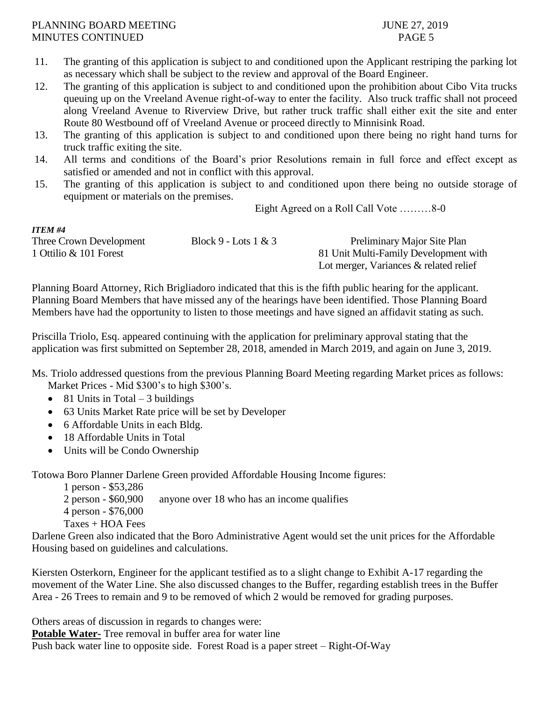#### PLANNING BOARD MEETING 37, 2019 MINUTES CONTINUED **Example 2** PAGE 5

*ITEM #4*

- 11. The granting of this application is subject to and conditioned upon the Applicant restriping the parking lot as necessary which shall be subject to the review and approval of the Board Engineer.
- 12. The granting of this application is subject to and conditioned upon the prohibition about Cibo Vita trucks queuing up on the Vreeland Avenue right-of-way to enter the facility. Also truck traffic shall not proceed along Vreeland Avenue to Riverview Drive, but rather truck traffic shall either exit the site and enter Route 80 Westbound off of Vreeland Avenue or proceed directly to Minnisink Road.
- 13. The granting of this application is subject to and conditioned upon there being no right hand turns for truck traffic exiting the site.
- 14. All terms and conditions of the Board's prior Resolutions remain in full force and effect except as satisfied or amended and not in conflict with this approval.
- 15. The granting of this application is subject to and conditioned upon there being no outside storage of equipment or materials on the premises.

Eight Agreed on a Roll Call Vote ………8-0

| 11 C.W #4               |                        |                                           |
|-------------------------|------------------------|-------------------------------------------|
| Three Crown Development | Block 9 - Lots $1 & 3$ | Preliminary Major Site Plan               |
| 1 Ottilio & 101 Forest  |                        | 81 Unit Multi-Family Development with     |
|                         |                        | Lot merger, Variances $\&$ related relief |

Planning Board Attorney, Rich Brigliadoro indicated that this is the fifth public hearing for the applicant. Planning Board Members that have missed any of the hearings have been identified. Those Planning Board Members have had the opportunity to listen to those meetings and have signed an affidavit stating as such.

Priscilla Triolo, Esq. appeared continuing with the application for preliminary approval stating that the application was first submitted on September 28, 2018, amended in March 2019, and again on June 3, 2019.

Ms. Triolo addressed questions from the previous Planning Board Meeting regarding Market prices as follows: Market Prices - Mid \$300's to high \$300's.

- $\bullet$  81 Units in Total 3 buildings
- 63 Units Market Rate price will be set by Developer
- 6 Affordable Units in each Bldg.
- 18 Affordable Units in Total
- Units will be Condo Ownership

Totowa Boro Planner Darlene Green provided Affordable Housing Income figures:

- 1 person \$53,286
- 2 person \$60,900 anyone over 18 who has an income qualifies
- 4 person \$76,000
- Taxes + HOA Fees

Darlene Green also indicated that the Boro Administrative Agent would set the unit prices for the Affordable Housing based on guidelines and calculations.

Kiersten Osterkorn, Engineer for the applicant testified as to a slight change to Exhibit A-17 regarding the movement of the Water Line. She also discussed changes to the Buffer, regarding establish trees in the Buffer Area - 26 Trees to remain and 9 to be removed of which 2 would be removed for grading purposes.

Others areas of discussion in regards to changes were:

**Potable Water-** Tree removal in buffer area for water line

Push back water line to opposite side. Forest Road is a paper street – Right-Of-Way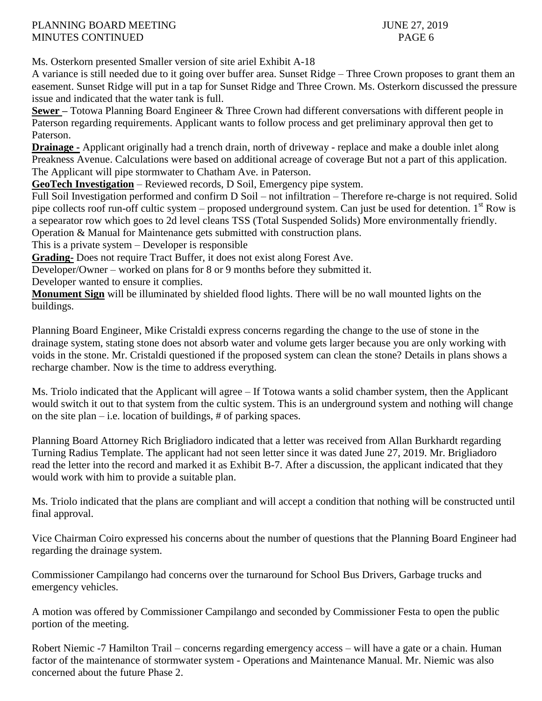### PLANNING BOARD MEETING 37, 2019 MINUTES CONTINUED PAGE 6

Ms. Osterkorn presented Smaller version of site ariel Exhibit A-18

A variance is still needed due to it going over buffer area. Sunset Ridge – Three Crown proposes to grant them an easement. Sunset Ridge will put in a tap for Sunset Ridge and Three Crown. Ms. Osterkorn discussed the pressure issue and indicated that the water tank is full.

**Sewer –** Totowa Planning Board Engineer & Three Crown had different conversations with different people in Paterson regarding requirements. Applicant wants to follow process and get preliminary approval then get to Paterson.

**Drainage -** Applicant originally had a trench drain, north of driveway - replace and make a double inlet along Preakness Avenue. Calculations were based on additional acreage of coverage But not a part of this application. The Applicant will pipe stormwater to Chatham Ave. in Paterson.

**GeoTech Investigation** – Reviewed records, D Soil, Emergency pipe system.

Full Soil Investigation performed and confirm D Soil – not infiltration – Therefore re-charge is not required. Solid pipe collects roof run-off cultic system – proposed underground system. Can just be used for detention.  $1<sup>st</sup>$  Row is a sepearator row which goes to 2d level cleans TSS (Total Suspended Solids) More environmentally friendly. Operation & Manual for Maintenance gets submitted with construction plans.

This is a private system – Developer is responsible

**Grading-** Does not require Tract Buffer, it does not exist along Forest Ave.

Developer/Owner – worked on plans for 8 or 9 months before they submitted it.

Developer wanted to ensure it complies.

**Monument Sign** will be illuminated by shielded flood lights. There will be no wall mounted lights on the buildings.

Planning Board Engineer, Mike Cristaldi express concerns regarding the change to the use of stone in the drainage system, stating stone does not absorb water and volume gets larger because you are only working with voids in the stone. Mr. Cristaldi questioned if the proposed system can clean the stone? Details in plans shows a recharge chamber. Now is the time to address everything.

Ms. Triolo indicated that the Applicant will agree – If Totowa wants a solid chamber system, then the Applicant would switch it out to that system from the cultic system. This is an underground system and nothing will change on the site plan – i.e. location of buildings,  $#$  of parking spaces.

Planning Board Attorney Rich Brigliadoro indicated that a letter was received from Allan Burkhardt regarding Turning Radius Template. The applicant had not seen letter since it was dated June 27, 2019. Mr. Brigliadoro read the letter into the record and marked it as Exhibit B-7. After a discussion, the applicant indicated that they would work with him to provide a suitable plan.

Ms. Triolo indicated that the plans are compliant and will accept a condition that nothing will be constructed until final approval.

Vice Chairman Coiro expressed his concerns about the number of questions that the Planning Board Engineer had regarding the drainage system.

Commissioner Campilango had concerns over the turnaround for School Bus Drivers, Garbage trucks and emergency vehicles.

A motion was offered by Commissioner Campilango and seconded by Commissioner Festa to open the public portion of the meeting.

Robert Niemic -7 Hamilton Trail – concerns regarding emergency access – will have a gate or a chain. Human factor of the maintenance of stormwater system - Operations and Maintenance Manual. Mr. Niemic was also concerned about the future Phase 2.